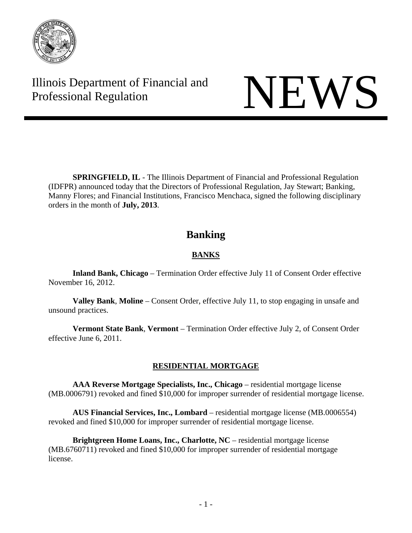

Illinois Department of Financial and Illinois Department of Financial and<br>Professional Regulation

**SPRINGFIELD, IL** - The Illinois Department of Financial and Professional Regulation (IDFPR) announced today that the Directors of Professional Regulation, Jay Stewart; Banking, Manny Flores; and Financial Institutions, Francisco Menchaca, signed the following disciplinary orders in the month of **July, 2013**.

# **Banking**

# **BANKS**

 **Inland Bank, Chicago** – Termination Order effective July 11 of Consent Order effective November 16, 2012.

 **Valley Bank**, **Moline** – Consent Order, effective July 11, to stop engaging in unsafe and unsound practices.

 **Vermont State Bank**, **Vermont** – Termination Order effective July 2, of Consent Order effective June 6, 2011.

## **RESIDENTIAL MORTGAGE**

**AAA Reverse Mortgage Specialists, Inc., Chicago** – residential mortgage license (MB.0006791) revoked and fined \$10,000 for improper surrender of residential mortgage license.

 **AUS Financial Services, Inc., Lombard** – residential mortgage license (MB.0006554) revoked and fined \$10,000 for improper surrender of residential mortgage license.

**Brightgreen Home Loans, Inc., Charlotte, NC** – residential mortgage license (MB.6760711) revoked and fined \$10,000 for improper surrender of residential mortgage license.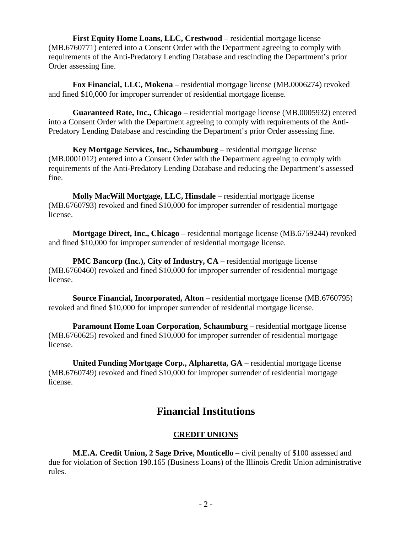**First Equity Home Loans, LLC, Crestwood** – residential mortgage license (MB.6760771) entered into a Consent Order with the Department agreeing to comply with requirements of the Anti-Predatory Lending Database and rescinding the Department's prior Order assessing fine.

 **Fox Financial, LLC, Mokena** – residential mortgage license (MB.0006274) revoked and fined \$10,000 for improper surrender of residential mortgage license.

 **Guaranteed Rate, Inc., Chicago** – residential mortgage license (MB.0005932) entered into a Consent Order with the Department agreeing to comply with requirements of the Anti-Predatory Lending Database and rescinding the Department's prior Order assessing fine.

 **Key Mortgage Services, Inc., Schaumburg** – residential mortgage license (MB.0001012) entered into a Consent Order with the Department agreeing to comply with requirements of the Anti-Predatory Lending Database and reducing the Department's assessed fine.

 **Molly MacWill Mortgage, LLC, Hinsdale** – residential mortgage license (MB.6760793) revoked and fined \$10,000 for improper surrender of residential mortgage license.

**Mortgage Direct, Inc., Chicago** – residential mortgage license (MB.6759244) revoked and fined \$10,000 for improper surrender of residential mortgage license.

**PMC Bancorp (Inc.), City of Industry, CA** – residential mortgage license (MB.6760460) revoked and fined \$10,000 for improper surrender of residential mortgage license.

**Source Financial, Incorporated, Alton** – residential mortgage license (MB.6760795) revoked and fined \$10,000 for improper surrender of residential mortgage license.

**Paramount Home Loan Corporation, Schaumburg – residential mortgage license** (MB.6760625) revoked and fined \$10,000 for improper surrender of residential mortgage license.

 **United Funding Mortgage Corp., Alpharetta, GA** – residential mortgage license (MB.6760749) revoked and fined \$10,000 for improper surrender of residential mortgage license.

# **Financial Institutions**

## **CREDIT UNIONS**

 **M.E.A. Credit Union, 2 Sage Drive, Monticello** – civil penalty of \$100 assessed and due for violation of Section 190.165 (Business Loans) of the Illinois Credit Union administrative rules.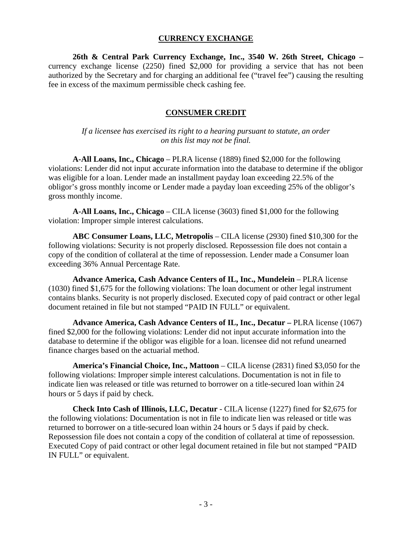#### **CURRENCY EXCHANGE**

 **26th & Central Park Currency Exchange, Inc., 3540 W. 26th Street, Chicago –**  currency exchange license (2250) fined \$2,000 for providing a service that has not been authorized by the Secretary and for charging an additional fee ("travel fee") causing the resulting fee in excess of the maximum permissible check cashing fee.

#### **CONSUMER CREDIT**

*If a licensee has exercised its right to a hearing pursuant to statute, an order on this list may not be final.*

 **A-All Loans, Inc., Chicago** – PLRA license (1889) fined \$2,000 for the following violations: Lender did not input accurate information into the database to determine if the obligor was eligible for a loan. Lender made an installment payday loan exceeding 22.5% of the obligor's gross monthly income or Lender made a payday loan exceeding 25% of the obligor's gross monthly income.

 **A-All Loans, Inc., Chicago** – CILA license (3603) fined \$1,000 for the following violation: Improper simple interest calculations.

 **ABC Consumer Loans, LLC, Metropolis** – CILA license (2930) fined \$10,300 for the following violations: Security is not properly disclosed. Repossession file does not contain a copy of the condition of collateral at the time of repossession. Lender made a Consumer loan exceeding 36% Annual Percentage Rate.

 **Advance America, Cash Advance Centers of IL, Inc., Mundelein** – PLRA license (1030) fined \$1,675 for the following violations: The loan document or other legal instrument contains blanks. Security is not properly disclosed. Executed copy of paid contract or other legal document retained in file but not stamped "PAID IN FULL" or equivalent.

 **Advance America, Cash Advance Centers of IL, Inc., Decatur –** PLRA license (1067) fined \$2,000 for the following violations: Lender did not input accurate information into the database to determine if the obligor was eligible for a loan. licensee did not refund unearned finance charges based on the actuarial method.

 **America's Financial Choice, Inc., Mattoon** – CILA license (2831) fined \$3,050 for the following violations: Improper simple interest calculations. Documentation is not in file to indicate lien was released or title was returned to borrower on a title-secured loan within 24 hours or 5 days if paid by check.

 **Check Into Cash of Illinois, LLC, Decatur** - CILA license (1227) fined for \$2,675 for the following violations: Documentation is not in file to indicate lien was released or title was returned to borrower on a title-secured loan within 24 hours or 5 days if paid by check. Repossession file does not contain a copy of the condition of collateral at time of repossession. Executed Copy of paid contract or other legal document retained in file but not stamped "PAID IN FULL" or equivalent.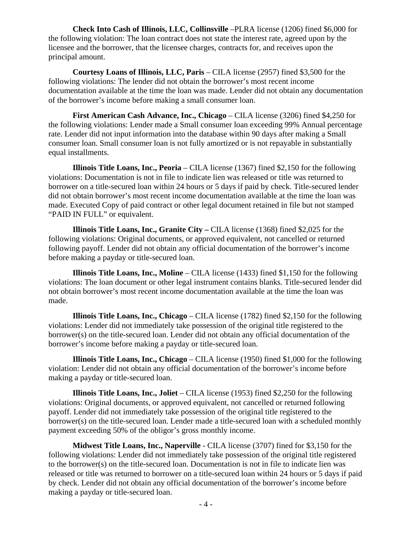**Check Into Cash of Illinois, LLC, Collinsville** –PLRA license (1206) fined \$6,000 for the following violation: The loan contract does not state the interest rate, agreed upon by the licensee and the borrower, that the licensee charges, contracts for, and receives upon the principal amount.

 **Courtesy Loans of Illinois, LLC, Paris** – CILA license (2957) fined \$3,500 for the following violations: The lender did not obtain the borrower's most recent income documentation available at the time the loan was made. Lender did not obtain any documentation of the borrower's income before making a small consumer loan.

 **First American Cash Advance, Inc., Chicago** – CILA license (3206) fined \$4,250 for the following violations: Lender made a Small consumer loan exceeding 99% Annual percentage rate. Lender did not input information into the database within 90 days after making a Small consumer loan. Small consumer loan is not fully amortized or is not repayable in substantially equal installments.

 **Illinois Title Loans, Inc., Peoria** – CILA license (1367) fined \$2,150 for the following violations: Documentation is not in file to indicate lien was released or title was returned to borrower on a title-secured loan within 24 hours or 5 days if paid by check. Title-secured lender did not obtain borrower's most recent income documentation available at the time the loan was made. Executed Copy of paid contract or other legal document retained in file but not stamped "PAID IN FULL" or equivalent.

 **Illinois Title Loans, Inc., Granite City –** CILA license (1368) fined \$2,025 for the following violations: Original documents, or approved equivalent, not cancelled or returned following payoff. Lender did not obtain any official documentation of the borrower's income before making a payday or title-secured loan.

 **Illinois Title Loans, Inc., Moline** – CILA license (1433) fined \$1,150 for the following violations: The loan document or other legal instrument contains blanks. Title-secured lender did not obtain borrower's most recent income documentation available at the time the loan was made.

 **Illinois Title Loans, Inc., Chicago** – CILA license (1782) fined \$2,150 for the following violations: Lender did not immediately take possession of the original title registered to the borrower(s) on the title-secured loan. Lender did not obtain any official documentation of the borrower's income before making a payday or title-secured loan.

**Illinois Title Loans, Inc., Chicago** – CILA license (1950) fined \$1,000 for the following violation: Lender did not obtain any official documentation of the borrower's income before making a payday or title-secured loan.

**Illinois Title Loans, Inc., Joliet** – CILA license (1953) fined \$2,250 for the following violations: Original documents, or approved equivalent, not cancelled or returned following payoff. Lender did not immediately take possession of the original title registered to the borrower(s) on the title-secured loan. Lender made a title-secured loan with a scheduled monthly payment exceeding 50% of the obligor's gross monthly income.

 **Midwest Title Loans, Inc., Naperville** - CILA license (3707) fined for \$3,150 for the following violations: Lender did not immediately take possession of the original title registered to the borrower(s) on the title-secured loan. Documentation is not in file to indicate lien was released or title was returned to borrower on a title-secured loan within 24 hours or 5 days if paid by check. Lender did not obtain any official documentation of the borrower's income before making a payday or title-secured loan.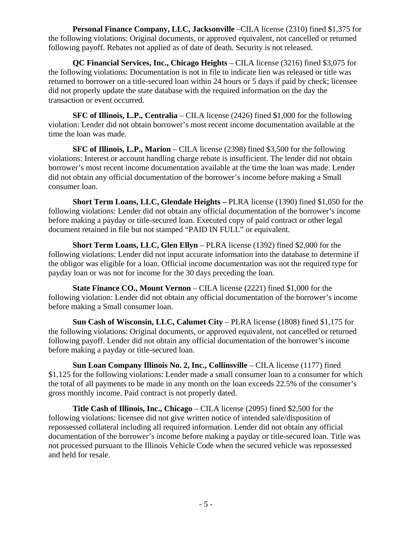**Personal Finance Company, LLC, Jacksonville** –CILA license (2310) fined \$1,375 for the following violations: Original documents, or approved equivalent, not cancelled or returned following payoff. Rebates not applied as of date of death. Security is not released.

 **QC Financial Services, Inc., Chicago Heights** – CILA license (3216) fined \$3,075 for the following violations: Documentation is not in file to indicate lien was released or title was returned to borrower on a title-secured loan within 24 hours or 5 days if paid by check; licensee did not properly update the state database with the required information on the day the transaction or event occurred.

 **SFC of Illinois, L.P., Centralia** – CILA license (2426) fined \$1,000 for the following violation: Lender did not obtain borrower's most recent income documentation available at the time the loan was made.

 **SFC of Illinois, L.P., Marion** – CILA license (2398) fined \$3,500 for the following violations: Interest or account handling charge rebate is insufficient. The lender did not obtain borrower's most recent income documentation available at the time the loan was made. Lender did not obtain any official documentation of the borrower's income before making a Small consumer loan.

 **Short Term Loans, LLC, Glendale Heights –** PLRA license (1390) fined \$1,050 for the following violations: Lender did not obtain any official documentation of the borrower's income before making a payday or title-secured loan. Executed copy of paid contract or other legal document retained in file but not stamped "PAID IN FULL" or equivalent.

 **Short Term Loans, LLC, Glen Ellyn** – PLRA license (1392) fined \$2,000 for the following violations: Lender did not input accurate information into the database to determine if the obligor was eligible for a loan. Official income documentation was not the required type for payday loan or was not for income for the 30 days preceding the loan.

 **State Finance CO., Mount Vernon** – CILA license (2221) fined \$1,000 for the following violation: Lender did not obtain any official documentation of the borrower's income before making a Small consumer loan.

 **Sun Cash of Wisconsin, LLC, Calumet City** – PLRA license (1808) fined \$1,175 for the following violations: Original documents, or approved equivalent, not cancelled or returned following payoff. Lender did not obtain any official documentation of the borrower's income before making a payday or title-secured loan.

 **Sun Loan Company Illinois No. 2, Inc., Collinsville** – CILA license (1177) fined \$1,125 for the following violations: Lender made a small consumer loan to a consumer for which the total of all payments to be made in any month on the loan exceeds 22.5% of the consumer's gross monthly income. Paid contract is not properly dated.

 **Title Cash of Illinois, Inc., Chicago** – CILA license (2095) fined \$2,500 for the following violations: licensee did not give written notice of intended sale/disposition of repossessed collateral including all required information. Lender did not obtain any official documentation of the borrower's income before making a payday or title-secured loan. Title was not processed pursuant to the Illinois Vehicle Code when the secured vehicle was repossessed and held for resale.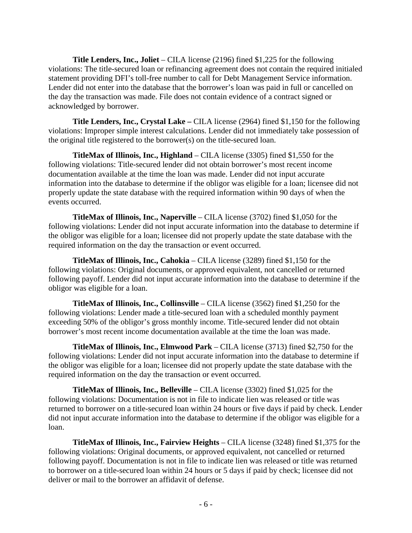**Title Lenders, Inc., Joliet** – CILA license (2196) fined \$1,225 for the following violations: The title-secured loan or refinancing agreement does not contain the required initialed statement providing DFI's toll-free number to call for Debt Management Service information. Lender did not enter into the database that the borrower's loan was paid in full or cancelled on the day the transaction was made. File does not contain evidence of a contract signed or acknowledged by borrower.

 **Title Lenders, Inc., Crystal Lake –** CILA license (2964) fined \$1,150 for the following violations: Improper simple interest calculations. Lender did not immediately take possession of the original title registered to the borrower(s) on the title-secured loan.

 **TitleMax of Illinois, Inc., Highland** – CILA license (3305) fined \$1,550 for the following violations: Title-secured lender did not obtain borrower's most recent income documentation available at the time the loan was made. Lender did not input accurate information into the database to determine if the obligor was eligible for a loan; licensee did not properly update the state database with the required information within 90 days of when the events occurred.

 **TitleMax of Illinois, Inc., Naperville** – CILA license (3702) fined \$1,050 for the following violations: Lender did not input accurate information into the database to determine if the obligor was eligible for a loan; licensee did not properly update the state database with the required information on the day the transaction or event occurred.

 **TitleMax of Illinois, Inc., Cahokia** – CILA license (3289) fined \$1,150 for the following violations: Original documents, or approved equivalent, not cancelled or returned following payoff. Lender did not input accurate information into the database to determine if the obligor was eligible for a loan.

 **TitleMax of Illinois, Inc., Collinsville** – CILA license (3562) fined \$1,250 for the following violations: Lender made a title-secured loan with a scheduled monthly payment exceeding 50% of the obligor's gross monthly income. Title-secured lender did not obtain borrower's most recent income documentation available at the time the loan was made.

 **TitleMax of Illinois, Inc., Elmwood Park** – CILA license (3713) fined \$2,750 for the following violations: Lender did not input accurate information into the database to determine if the obligor was eligible for a loan; licensee did not properly update the state database with the required information on the day the transaction or event occurred.

 **TitleMax of Illinois, Inc., Belleville** – CILA license (3302) fined \$1,025 for the following violations: Documentation is not in file to indicate lien was released or title was returned to borrower on a title-secured loan within 24 hours or five days if paid by check. Lender did not input accurate information into the database to determine if the obligor was eligible for a loan.

 **TitleMax of Illinois, Inc., Fairview Heights** – CILA license (3248) fined \$1,375 for the following violations: Original documents, or approved equivalent, not cancelled or returned following payoff. Documentation is not in file to indicate lien was released or title was returned to borrower on a title-secured loan within 24 hours or 5 days if paid by check; licensee did not deliver or mail to the borrower an affidavit of defense.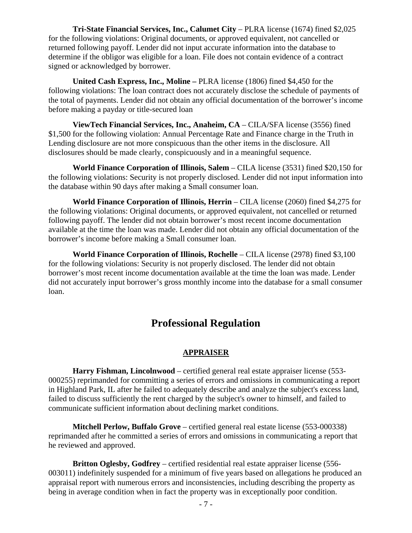**Tri-State Financial Services, Inc., Calumet City – PLRA license (1674) fined \$2,025** for the following violations: Original documents, or approved equivalent, not cancelled or returned following payoff. Lender did not input accurate information into the database to determine if the obligor was eligible for a loan. File does not contain evidence of a contract signed or acknowledged by borrower.

 **United Cash Express, Inc., Moline –** PLRA license (1806) fined \$4,450 for the following violations: The loan contract does not accurately disclose the schedule of payments of the total of payments. Lender did not obtain any official documentation of the borrower's income before making a payday or title-secured loan

 **ViewTech Financial Services, Inc., Anaheim, CA** – CILA/SFA license (3556) fined \$1,500 for the following violation: Annual Percentage Rate and Finance charge in the Truth in Lending disclosure are not more conspicuous than the other items in the disclosure. All disclosures should be made clearly, conspicuously and in a meaningful sequence.

 **World Finance Corporation of Illinois, Salem** – CILA license (3531) fined \$20,150 for the following violations: Security is not properly disclosed. Lender did not input information into the database within 90 days after making a Small consumer loan.

**World Finance Corporation of Illinois, Herrin** – CILA license (2060) fined \$4,275 for the following violations: Original documents, or approved equivalent, not cancelled or returned following payoff. The lender did not obtain borrower's most recent income documentation available at the time the loan was made. Lender did not obtain any official documentation of the borrower's income before making a Small consumer loan.

 **World Finance Corporation of Illinois, Rochelle** – CILA license (2978) fined \$3,100 for the following violations: Security is not properly disclosed. The lender did not obtain borrower's most recent income documentation available at the time the loan was made. Lender did not accurately input borrower's gross monthly income into the database for a small consumer loan.

# **Professional Regulation**

#### **APPRAISER**

**Harry Fishman, Lincolnwood** – certified general real estate appraiser license (553- 000255) reprimanded for committing a series of errors and omissions in communicating a report in Highland Park, IL after he failed to adequately describe and analyze the subject's excess land, failed to discuss sufficiently the rent charged by the subject's owner to himself, and failed to communicate sufficient information about declining market conditions.

**Mitchell Perlow, Buffalo Grove** – certified general real estate license (553-000338) reprimanded after he committed a series of errors and omissions in communicating a report that he reviewed and approved.

**Britton Oglesby, Godfrey** – certified residential real estate appraiser license (556- 003011) indefinitely suspended for a minimum of five years based on allegations he produced an appraisal report with numerous errors and inconsistencies, including describing the property as being in average condition when in fact the property was in exceptionally poor condition.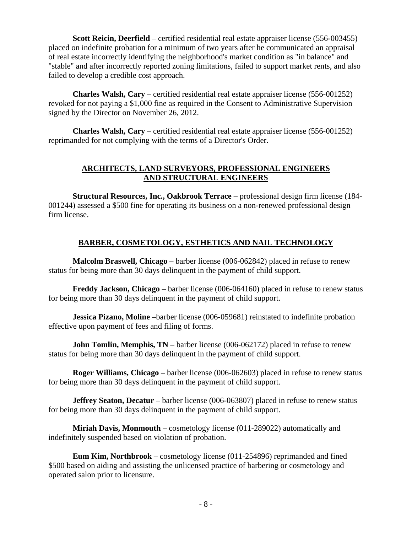**Scott Reicin, Deerfield** – certified residential real estate appraiser license (556-003455) placed on indefinite probation for a minimum of two years after he communicated an appraisal of real estate incorrectly identifying the neighborhood's market condition as "in balance" and "stable" and after incorrectly reported zoning limitations, failed to support market rents, and also failed to develop a credible cost approach.

**Charles Walsh, Cary** – certified residential real estate appraiser license (556-001252) revoked for not paying a \$1,000 fine as required in the Consent to Administrative Supervision signed by the Director on November 26, 2012.

**Charles Walsh, Cary** – certified residential real estate appraiser license (556-001252) reprimanded for not complying with the terms of a Director's Order.

#### **ARCHITECTS, LAND SURVEYORS, PROFESSIONAL ENGINEERS AND STRUCTURAL ENGINEERS**

**Structural Resources, Inc., Oakbrook Terrace** – professional design firm license (184- 001244) assessed a \$500 fine for operating its business on a non-renewed professional design firm license.

## **BARBER, COSMETOLOGY, ESTHETICS AND NAIL TECHNOLOGY**

**Malcolm Braswell, Chicago** – barber license (006-062842) placed in refuse to renew status for being more than 30 days delinquent in the payment of child support.

**Freddy Jackson, Chicago** – barber license (006-064160) placed in refuse to renew status for being more than 30 days delinquent in the payment of child support.

**Jessica Pizano, Moline** –barber license (006-059681) reinstated to indefinite probation effective upon payment of fees and filing of forms.

**John Tomlin, Memphis, TN** – barber license (006-062172) placed in refuse to renew status for being more than 30 days delinquent in the payment of child support.

**Roger Williams, Chicago** – barber license (006-062603) placed in refuse to renew status for being more than 30 days delinquent in the payment of child support.

**Jeffrey Seaton, Decatur** – barber license (006-063807) placed in refuse to renew status for being more than 30 days delinquent in the payment of child support.

**Miriah Davis, Monmouth** – cosmetology license (011-289022) automatically and indefinitely suspended based on violation of probation.

**Eum Kim, Northbrook** – cosmetology license (011-254896) reprimanded and fined \$500 based on aiding and assisting the unlicensed practice of barbering or cosmetology and operated salon prior to licensure.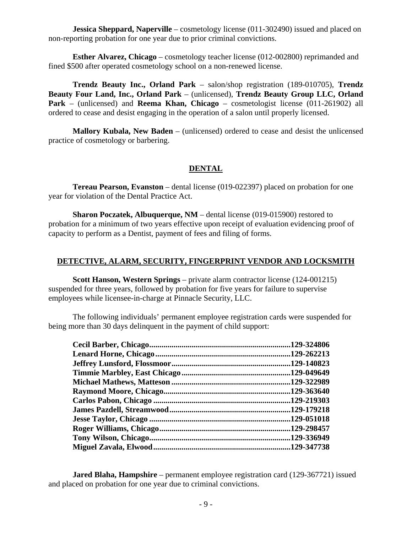**Jessica Sheppard, Naperville** – cosmetology license (011-302490) issued and placed on non-reporting probation for one year due to prior criminal convictions.

**Esther Alvarez, Chicago** – cosmetology teacher license (012-002800) reprimanded and fined \$500 after operated cosmetology school on a non-renewed license.

**Trendz Beauty Inc., Orland Park** – salon/shop registration (189-010705), **Trendz Beauty Four Land, Inc., Orland Park** – (unlicensed), **Trendz Beauty Group LLC, Orland Park** – (unlicensed) and **Reema Khan, Chicago** – cosmetologist license (011-261902) all ordered to cease and desist engaging in the operation of a salon until properly licensed.

**Mallory Kubala, New Baden** – (unlicensed) ordered to cease and desist the unlicensed practice of cosmetology or barbering.

#### **DENTAL**

**Tereau Pearson, Evanston** – dental license (019-022397) placed on probation for one year for violation of the Dental Practice Act.

 **Sharon Poczatek, Albuquerque, NM** – dental license (019-015900) restored to probation for a minimum of two years effective upon receipt of evaluation evidencing proof of capacity to perform as a Dentist, payment of fees and filing of forms.

#### **DETECTIVE, ALARM, SECURITY, FINGERPRINT VENDOR AND LOCKSMITH**

**Scott Hanson, Western Springs** – private alarm contractor license (124-001215) suspended for three years, followed by probation for five years for failure to supervise employees while licensee-in-charge at Pinnacle Security, LLC.

The following individuals' permanent employee registration cards were suspended for being more than 30 days delinquent in the payment of child support:

| .129-324806 |
|-------------|
| .129-262213 |
| .129-140823 |
| .129-049649 |
| .129-322989 |
| .129-363640 |
|             |
|             |
| .129-051018 |
| .129-298457 |
| .129-336949 |
| .129-347738 |

**Jared Blaha, Hampshire** – permanent employee registration card (129-367721) issued and placed on probation for one year due to criminal convictions.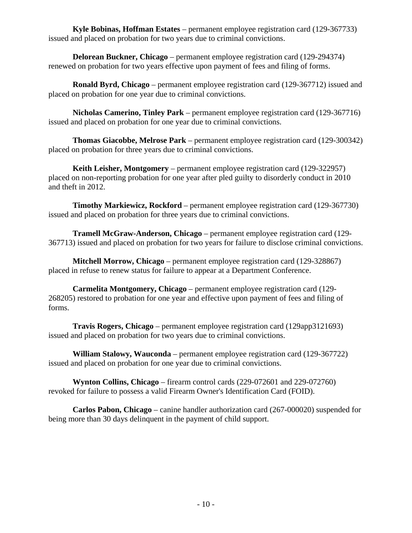**Kyle Bobinas, Hoffman Estates** – permanent employee registration card (129-367733) issued and placed on probation for two years due to criminal convictions.

**Delorean Buckner, Chicago** – permanent employee registration card (129-294374) renewed on probation for two years effective upon payment of fees and filing of forms.

**Ronald Byrd, Chicago** – permanent employee registration card (129-367712) issued and placed on probation for one year due to criminal convictions.

**Nicholas Camerino, Tinley Park** – permanent employee registration card (129-367716) issued and placed on probation for one year due to criminal convictions.

**Thomas Giacobbe, Melrose Park** – permanent employee registration card (129-300342) placed on probation for three years due to criminal convictions.

**Keith Leisher, Montgomery** – permanent employee registration card (129-322957) placed on non-reporting probation for one year after pled guilty to disorderly conduct in 2010 and theft in 2012.

**Timothy Markiewicz, Rockford** – permanent employee registration card (129-367730) issued and placed on probation for three years due to criminal convictions.

**Tramell McGraw-Anderson, Chicago** – permanent employee registration card (129- 367713) issued and placed on probation for two years for failure to disclose criminal convictions.

**Mitchell Morrow, Chicago** – permanent employee registration card (129-328867) placed in refuse to renew status for failure to appear at a Department Conference.

**Carmelita Montgomery, Chicago** – permanent employee registration card (129- 268205) restored to probation for one year and effective upon payment of fees and filing of forms.

**Travis Rogers, Chicago** – permanent employee registration card (129app3121693) issued and placed on probation for two years due to criminal convictions.

**William Stalowy, Wauconda** – permanent employee registration card (129-367722) issued and placed on probation for one year due to criminal convictions.

**Wynton Collins, Chicago** – firearm control cards (229-072601 and 229-072760) revoked for failure to possess a valid Firearm Owner's Identification Card (FOID).

**Carlos Pabon, Chicago** – canine handler authorization card (267-000020) suspended for being more than 30 days delinquent in the payment of child support.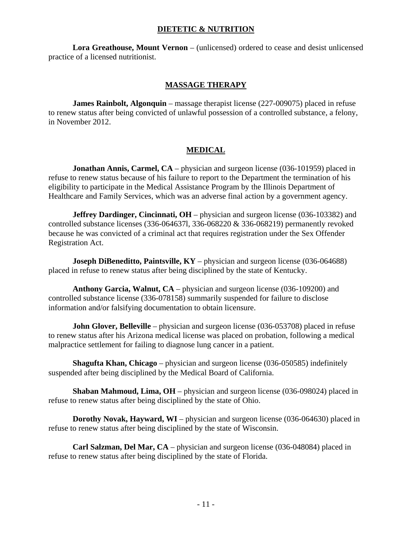#### **DIETETIC & NUTRITION**

**Lora Greathouse, Mount Vernon** – (unlicensed) ordered to cease and desist unlicensed practice of a licensed nutritionist.

#### **MASSAGE THERAPY**

**James Rainbolt, Algonquin** – massage therapist license (227-009075) placed in refuse to renew status after being convicted of unlawful possession of a controlled substance, a felony, in November 2012.

### **MEDICAL**

**Jonathan Annis, Carmel, CA** – physician and surgeon license (036-101959) placed in refuse to renew status because of his failure to report to the Department the termination of his eligibility to participate in the Medical Assistance Program by the Illinois Department of Healthcare and Family Services, which was an adverse final action by a government agency.

**Jeffrey Dardinger, Cincinnati, OH** – physician and surgeon license (036-103382) and controlled substance licenses (336-064637l, 336-068220 & 336-068219) permanently revoked because he was convicted of a criminal act that requires registration under the Sex Offender Registration Act.

**Joseph DiBeneditto, Paintsville, KY** – physician and surgeon license (036-064688) placed in refuse to renew status after being disciplined by the state of Kentucky.

**Anthony Garcia, Walnut, CA** – physician and surgeon license (036-109200) and controlled substance license (336-078158) summarily suspended for failure to disclose information and/or falsifying documentation to obtain licensure.

**John Glover, Belleville** – physician and surgeon license (036-053708) placed in refuse to renew status after his Arizona medical license was placed on probation, following a medical malpractice settlement for failing to diagnose lung cancer in a patient.

**Shagufta Khan, Chicago** – physician and surgeon license (036-050585) indefinitely suspended after being disciplined by the Medical Board of California.

**Shaban Mahmoud, Lima, OH** – physician and surgeon license (036-098024) placed in refuse to renew status after being disciplined by the state of Ohio.

**Dorothy Novak, Hayward, WI** – physician and surgeon license (036-064630) placed in refuse to renew status after being disciplined by the state of Wisconsin.

**Carl Salzman, Del Mar, CA** – physician and surgeon license (036-048084) placed in refuse to renew status after being disciplined by the state of Florida.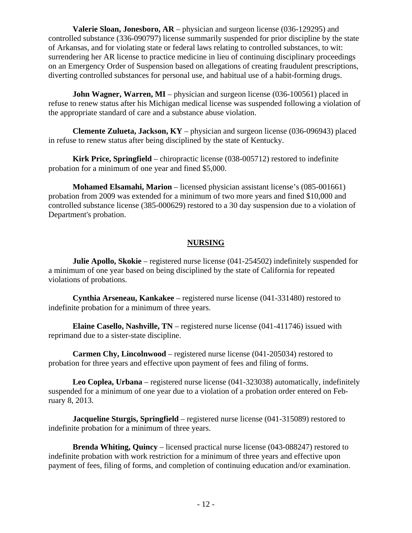**Valerie Sloan, Jonesboro, AR** – physician and surgeon license (036-129295) and controlled substance (336-090797) license summarily suspended for prior discipline by the state of Arkansas, and for violating state or federal laws relating to controlled substances, to wit: surrendering her AR license to practice medicine in lieu of continuing disciplinary proceedings on an Emergency Order of Suspension based on allegations of creating fraudulent prescriptions, diverting controlled substances for personal use, and habitual use of a habit-forming drugs.

**John Wagner, Warren, MI** – physician and surgeon license (036-100561) placed in refuse to renew status after his Michigan medical license was suspended following a violation of the appropriate standard of care and a substance abuse violation.

**Clemente Zulueta, Jackson, KY** – physician and surgeon license (036-096943) placed in refuse to renew status after being disciplined by the state of Kentucky.

**Kirk Price, Springfield** – chiropractic license (038-005712) restored to indefinite probation for a minimum of one year and fined \$5,000.

**Mohamed Elsamahi, Marion** – licensed physician assistant license's (085-001661) probation from 2009 was extended for a minimum of two more years and fined \$10,000 and controlled substance license (385-000629) restored to a 30 day suspension due to a violation of Department's probation.

#### **NURSING**

**Julie Apollo, Skokie** – registered nurse license (041-254502) indefinitely suspended for a minimum of one year based on being disciplined by the state of California for repeated violations of probations.

 **Cynthia Arseneau, Kankakee** – registered nurse license (041-331480) restored to indefinite probation for a minimum of three years.

 **Elaine Casello, Nashville, TN** – registered nurse license (041-411746) issued with reprimand due to a sister-state discipline.

**Carmen Chy, Lincolnwood** – registered nurse license (041-205034) restored to probation for three years and effective upon payment of fees and filing of forms.

 **Leo Coplea, Urbana** – registered nurse license (041-323038) automatically, indefinitely suspended for a minimum of one year due to a violation of a probation order entered on February 8, 2013.

**Jacqueline Sturgis, Springfield** – registered nurse license (041-315089) restored to indefinite probation for a minimum of three years.

**Brenda Whiting, Quincy** – licensed practical nurse license (043-088247) restored to indefinite probation with work restriction for a minimum of three years and effective upon payment of fees, filing of forms, and completion of continuing education and/or examination.